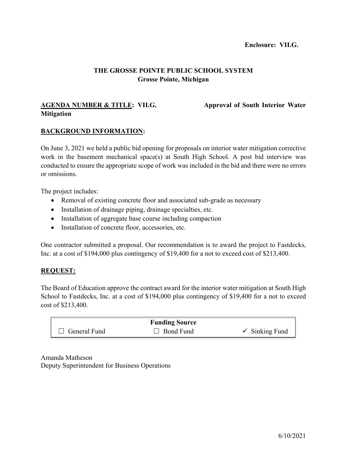# **THE GROSSE POINTE PUBLIC SCHOOL SYSTEM Grosse Pointe, Michigan**

## **AGENDA NUMBER & TITLE: VII.G. Approval of South Interior Water Mitigation**

#### **BACKGROUND INFORMATION:**

On June 3, 2021 we held a public bid opening for proposals on interior water mitigation corrective work in the basement mechanical space(s) at South High School. A post bid interview was conducted to ensure the appropriate scope of work was included in the bid and there were no errors or omissions.

The project includes:

- Removal of existing concrete floor and associated sub-grade as necessary
- Installation of drainage piping, drainage specialties, etc.
- Installation of aggregate base course including compaction
- Installation of concrete floor, accessories, etc.

One contractor submitted a proposal. Our recommendation is to award the project to Fastdecks, Inc. at a cost of \$194,000 plus contingency of \$19,400 for a not to exceed cost of \$213,400.

#### **REQUEST:**

The Board of Education approve the contract award for the interior water mitigation at South High School to Fastdecks, Inc. at a cost of \$194,000 plus contingency of \$19,400 for a not to exceed cost of \$213,400.

| <b>Funding Source</b> |              |                           |  |  |  |  |  |  |  |
|-----------------------|--------------|---------------------------|--|--|--|--|--|--|--|
| $\Box$ General Fund   | ⊥⊥ Bond Fund | $\checkmark$ Sinking Fund |  |  |  |  |  |  |  |

Amanda Matheson Deputy Superintendent for Business Operations